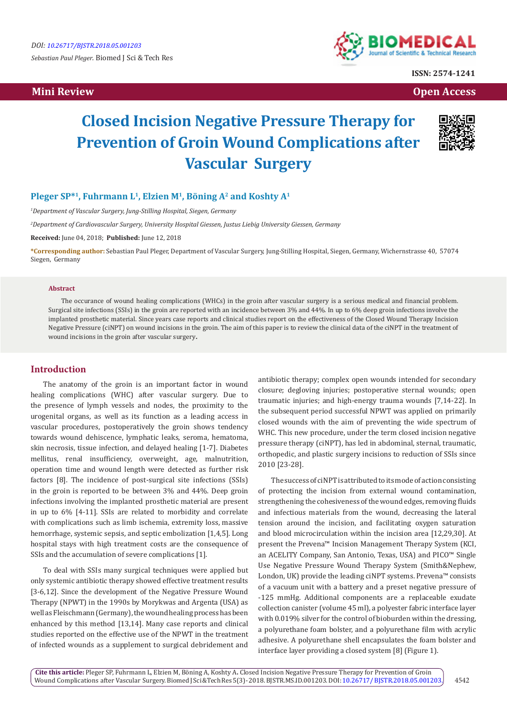*Sebastian Paul Pleger.* Biomed J Sci & Tech Res

 **Mini Review Open Access** 



**ISSN: 2574-1241**

# **Closed Incision Negative Pressure Therapy for Prevention of Groin Wound Complications after Vascular Surgery**



## Pleger SP<sup>\*1</sup>, Fuhrmann L<sup>1</sup>, Elzien M<sup>1</sup>, Böning A<sup>2</sup> and Koshty A<sup>1</sup>

*1 Department of Vascular Surgery, Jung-Stilling Hospital, Siegen, Germany*

*2 Department of Cardiovascular Surgery, University Hospital Giessen, Justus Liebig University Giessen, Germany*

**Received:** June 04, 2018; **Published:** June 12, 2018

**\*Corresponding author:** Sebastian Paul Pleger, Department of Vascular Surgery, Jung-Stilling Hospital, Siegen, Germany, Wichernstrasse 40, 57074 Siegen, Germany

#### **Abstract**

The occurance of wound healing complications (WHCs) in the groin after vascular surgery is a serious medical and financial problem. Surgical site infections (SSIs) in the groin are reported with an incidence between 3% and 44%. In up to 6% deep groin infections involve the implanted prosthetic material. Since years case reports and clinical studies report on the effectiveness of the Closed Wound Therapy Incision Negative Pressure (ciNPT) on wound incisions in the groin. The aim of this paper is to review the clinical data of the ciNPT in the treatment of wound incisions in the groin after vascular surgery**.**

## **Introduction**

The anatomy of the groin is an important factor in wound healing complications (WHC) after vascular surgery. Due to the presence of lymph vessels and nodes, the proximity to the urogenital organs, as well as its function as a leading access in vascular procedures, postoperatively the groin shows tendency towards wound dehiscence, lymphatic leaks, seroma, hematoma, skin necrosis, tissue infection, and delayed healing [1-7]. Diabetes mellitus, renal insufficiency, overweight, age, malnutrition, operation time and wound length were detected as further risk factors [8]. The incidence of post-surgical site infections (SSIs) in the groin is reported to be between 3% and 44%. Deep groin infections involving the implanted prosthetic material are present in up to 6% [4-11]. SSIs are related to morbidity and correlate with complications such as limb ischemia, extremity loss, massive hemorrhage, systemic sepsis, and septic embolization [1,4,5]. Long hospital stays with high treatment costs are the consequence of SSIs and the accumulation of severe complications [1].

To deal with SSIs many surgical techniques were applied but only systemic antibiotic therapy showed effective treatment results [3-6,12]. Since the development of the Negative Pressure Wound Therapy (NPWT) in the 1990s by Morykwas and Argenta (USA) as well as Fleischmann (Germany), the wound healing process has been enhanced by this method [13,14]. Many case reports and clinical studies reported on the effective use of the NPWT in the treatment of infected wounds as a supplement to surgical debridement and antibiotic therapy; complex open wounds intended for secondary closure; degloving injuries; postoperative sternal wounds; open traumatic injuries; and high-energy trauma wounds [7,14-22]. In the subsequent period successful NPWT was applied on primarily closed wounds with the aim of preventing the wide spectrum of WHC. This new procedure, under the term closed incision negative pressure therapy (ciNPT), has led in abdominal, sternal, traumatic, orthopedic, and plastic surgery incisions to reduction of SSIs since 2010 [23-28].

The success of ciNPT is attributed to its mode of action consisting of protecting the incision from external wound contamination, strengthening the cohesiveness of the wound edges, removing fluids and infectious materials from the wound, decreasing the lateral tension around the incision, and facilitating oxygen saturation and blood microcirculation within the incision area [12,29,30]. At present the Prevena™ Incision Management Therapy System (KCI, an ACELITY Company, San Antonio, Texas, USA) and PICO™ Single Use Negative Pressure Wound Therapy System (Smith&Nephew, London, UK) provide the leading ciNPT systems. Prevena™ consists of a vacuum unit with a battery and a preset negative pressure of -125 mmHg. Additional components are a replaceable exudate collection canister (volume 45 ml), a polyester fabric interface layer with 0.019% silver for the control of bioburden within the dressing, a polyurethane foam bolster, and a polyurethane film with acrylic adhesive. A polyurethane shell encapsulates the foam bolster and interface layer providing a closed system [8] (Figure 1).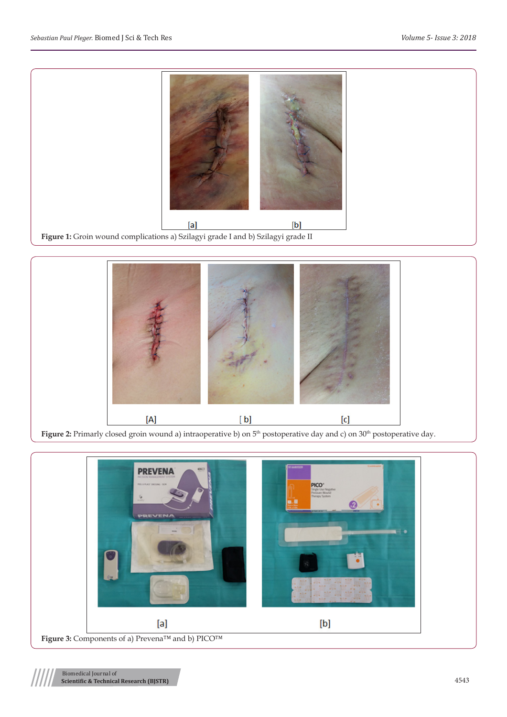



Figure 2: Primarly closed groin wound a) intraoperative b) on 5<sup>th</sup> postoperative day and c) on 30<sup>th</sup> postoperative day.

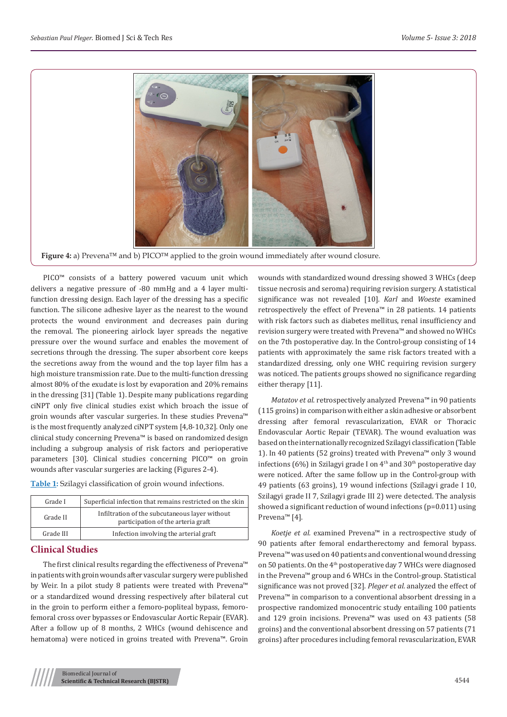

**Figure 4:** a) Prevena™ and b) PICO™ applied to the groin wound immediately after wound closure.

PICO™ consists of a battery powered vacuum unit which delivers a negative pressure of -80 mmHg and a 4 layer multifunction dressing design. Each layer of the dressing has a specific function. The silicone adhesive layer as the nearest to the wound protects the wound environment and decreases pain during the removal. The pioneering airlock layer spreads the negative pressure over the wound surface and enables the movement of secretions through the dressing. The super absorbent core keeps the secretions away from the wound and the top layer film has a high moisture transmission rate. Due to the multi-function dressing almost 80% of the exudate is lost by evaporation and 20% remains in the dressing [31] (Table 1). Despite many publications regarding ciNPT only five clinical studies exist which broach the issue of groin wounds after vascular surgeries. In these studies Prevena™ is the most frequently analyzed ciNPT system [4,8-10,32]. Only one clinical study concerning Prevena™ is based on randomized design including a subgroup analysis of risk factors and perioperative parameters [30]. Clinical studies concerning PICO™ on groin wounds after vascular surgeries are lacking (Figures 2-4).

| <b>Table 1:</b> Szilagyi classification of groin wound infections. |  |  |
|--------------------------------------------------------------------|--|--|

| Grade I   | Superficial infection that remains restricted on the skin                            |
|-----------|--------------------------------------------------------------------------------------|
| Grade II  | Infiltration of the subcutaneous layer without<br>participation of the arteria graft |
| Grade III | Infection involving the arterial graft                                               |

#### **Clinical Studies**

The first clinical results regarding the effectiveness of Prevena™ in patients with groin wounds after vascular surgery were published by Weir. In a pilot study 8 patients were treated with Prevena™ or a standardized wound dressing respectively after bilateral cut in the groin to perform either a femoro-popliteal bypass, femorofemoral cross over bypasses or Endovascular Aortic Repair (EVAR). After a follow up of 8 months, 2 WHCs (wound dehiscence and hematoma) were noticed in groins treated with Prevena™. Groin wounds with standardized wound dressing showed 3 WHCs (deep tissue necrosis and seroma) requiring revision surgery. A statistical significance was not revealed [10]. *Karl* and *Woeste* examined retrospectively the effect of Prevena™ in 28 patients. 14 patients with risk factors such as diabetes mellitus, renal insufficiency and revision surgery were treated with Prevena™ and showed no WHCs on the 7th postoperative day. In the Control-group consisting of 14 patients with approximately the same risk factors treated with a standardized dressing, only one WHC requiring revision surgery was noticed. The patients groups showed no significance regarding either therapy [11].

*Matatov et al*. retrospectively analyzed Prevena™ in 90 patients (115 groins) in comparison with either a skin adhesive or absorbent dressing after femoral revascularization, EVAR or Thoracic Endovascular Aortic Repair (TEVAR). The wound evaluation was based on the internationally recognized Szilagyi classification (Table 1). In 40 patients (52 groins) treated with Prevena™ only 3 wound infections (6%) in Szilagyi grade I on  $4<sup>th</sup>$  and 30<sup>th</sup> postoperative day were noticed. After the same follow up in the Control-group with 49 patients (63 groins), 19 wound infections (Szilagyi grade I 10, Szilagyi grade II 7, Szilagyi grade III 2) were detected. The analysis showed a significant reduction of wound infections (p=0.011) using Prevena™ [4].

*Koetje et al.* examined Prevena™ in a rectrospective study of 90 patients after femoral endartherectomy and femoral bypass. Prevena™ was used on 40 patients and conventional wound dressing on 50 patients. On the 4<sup>th</sup> postoperative day 7 WHCs were diagnosed in the Prevena™ group and 6 WHCs in the Control-group. Statistical significance was not proved [32]. *Pleger et al.* analyzed the effect of Prevena™ in comparison to a conventional absorbent dressing in a prospective randomized monocentric study entailing 100 patients and 129 groin incisions. Prevena™ was used on 43 patients (58 groins) and the conventional absorbent dressing on 57 patients (71 groins) after procedures including femoral revascularization, EVAR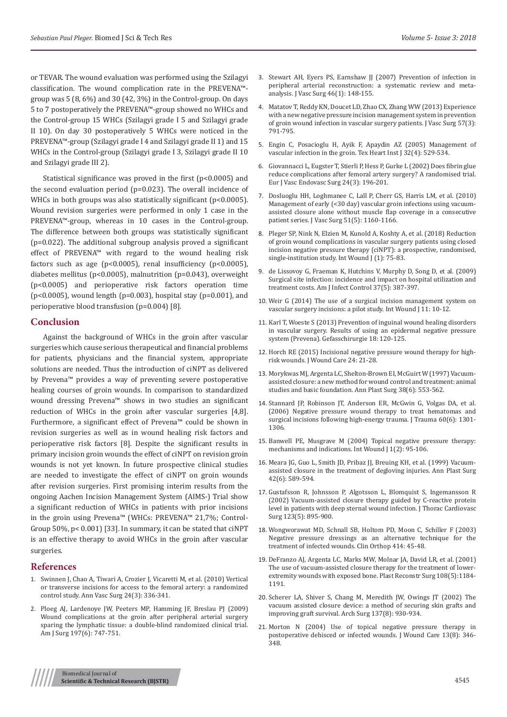or TEVAR. The wound evaluation was performed using the Szilagyi classification. The wound complication rate in the PREVENA™ group was 5 (8, 6%) and 30 (42, 3%) in the Control-group. On days 5 to 7 postoperatively the PREVENA™-group showed no WHCs and the Control-group 15 WHCs (Szilagyi grade I 5 and Szilagyi grade II 10). On day 30 postoperatively 5 WHCs were noticed in the PREVENA™-group (Szilagyi grade I 4 and Szilagyi grade II 1) and 15 WHCs in the Control-group (Szilagyi grade I 3, Szilagyi grade II 10 and Szilagyi grade III 2).

Statistical significance was proved in the first (p<0.0005) and the second evaluation period (p=0.023). The overall incidence of WHCs in both groups was also statistically significant (p<0.0005). Wound revision surgeries were performed in only 1 case in the PREVENA™-group, whereas in 10 cases in the Control-group. The difference between both groups was statistically significant (p=0.022). The additional subgroup analysis proved a significant effect of PREVENA™ with regard to the wound healing risk factors such as age ( $p<0.0005$ ), renal insufficiency ( $p<0.0005$ ), diabetes mellitus (p<0.0005), malnutrition (p=0.043), overweight (p<0.0005) and perioperative risk factors operation time ( $p$ <0.0005), wound length ( $p$ =0.003), hospital stay ( $p$ =0.001), and perioperative blood transfusion (p=0.004) [8].

#### **Conclusion**

Against the background of WHCs in the groin after vascular surgeries which cause serious therapeutical and financial problems for patients, physicians and the financial system, appropriate solutions are needed. Thus the introduction of ciNPT as delivered by Prevena™ provides a way of preventing severe postoperative healing courses of groin wounds. In comparison to standardized wound dressing Prevena™ shows in two studies an significant reduction of WHCs in the groin after vascular surgeries [4,8]. Furthermore, a significant effect of Prevena™ could be shown in revision surgeries as well as in wound healing risk factors and perioperative risk factors [8]. Despite the significant results in primary incision groin wounds the effect of ciNPT on revision groin wounds is not yet known. In future prospective clinical studies are needed to investigate the effect of ciNPT on groin wounds after revision surgeries. First promising interim results from the ongoing Aachen Incision Management System (AIMS-) Trial show a significant reduction of WHCs in patients with prior incisions in the groin using Prevena™ (WHCs: PREVENA™ 21,7%; Control-Group 50%, p< 0.001) [33]. In summary, it can be stated that ciNPT is an effective therapy to avoid WHCs in the groin after vascular surgeries.

#### **References**

- 1. [Swinnen J, Chao A, Tiwari A, Crozier J, Vicaretti M, et al. \(2010\) Vertical](https://www.ncbi.nlm.nih.gov/pubmed/19962270)  [or transverse incisions for access to the femoral artery: a randomized](https://www.ncbi.nlm.nih.gov/pubmed/19962270)  [control study. Ann Vasc Surg 24\(3\): 336-341.](https://www.ncbi.nlm.nih.gov/pubmed/19962270)
- 2. [Ploeg AJ, Lardenoye JW, Peeters MP, Hamming JF, Breslau PJ \(2009\)](https://www.ncbi.nlm.nih.gov/pubmed/18929355)  [Wound complications at the groin after peripheral arterial surgery](https://www.ncbi.nlm.nih.gov/pubmed/18929355)  [sparing the lymphatic tissue: a double-blind randomized clinical trial.](https://www.ncbi.nlm.nih.gov/pubmed/18929355)  [Am J Surg 197\(6\): 747-751.](https://www.ncbi.nlm.nih.gov/pubmed/18929355)
- 3. [Stewart AH, Eyers PS, Earnshaw JJ \(2007\) Prevention of infection in](https://www.ncbi.nlm.nih.gov/pubmed/17606135) [peripheral arterial reconstruction: a systematic review and meta](https://www.ncbi.nlm.nih.gov/pubmed/17606135)[analysis. J Vasc Surg 46\(1\): 148-155.](https://www.ncbi.nlm.nih.gov/pubmed/17606135)
- 4. [Matatov T, Reddy KN, Doucet LD, Zhao CX, Zhang WW \(2013\) Experience](https://www.ncbi.nlm.nih.gov/pubmed/23312938) [with a new negative pressure incision management system in prevention](https://www.ncbi.nlm.nih.gov/pubmed/23312938) [of groin wound infection in vascular surgery patients. J Vasc Surg 57\(3\):](https://www.ncbi.nlm.nih.gov/pubmed/23312938) [791-795.](https://www.ncbi.nlm.nih.gov/pubmed/23312938)
- 5. [Engin C, Posacioglu H, Ayik F, Apaydin AZ \(2005\) Management of](https://www.ncbi.nlm.nih.gov/pubmed/16429897) [vascular infection in the groin. Tex Heart Inst J 32\(4\): 529-534.](https://www.ncbi.nlm.nih.gov/pubmed/16429897)
- 6. [Giovannacci L, Eugster T, Stierli P, Hess P, Gurke L \(2002\) Does fibrin glue](https://www.ncbi.nlm.nih.gov/pubmed/12217279) [reduce complications after femoral artery surgery? A randomised trial.](https://www.ncbi.nlm.nih.gov/pubmed/12217279) [Eur J Vasc Endovasc Surg 24\(3\): 196-201.](https://www.ncbi.nlm.nih.gov/pubmed/12217279)
- 7. [Dosluoglu HH, Loghmanee C, Lall P, Cherr GS, Harris LM, et al. \(2010\)](https://www.ncbi.nlm.nih.gov/pubmed/20356703) [Management of early \(<30 day\) vascular groin infections using vacuum](https://www.ncbi.nlm.nih.gov/pubmed/20356703)[assisted closure alone without muscle flap coverage in a consecutive](https://www.ncbi.nlm.nih.gov/pubmed/20356703) [patient series. J Vasc Surg 51\(5\): 1160-1166.](https://www.ncbi.nlm.nih.gov/pubmed/20356703)
- 8. [Pleger SP, Nink N, Elzien M, Kunold A, Koshty A, et al. \(2018\) Reduction](https://www.ncbi.nlm.nih.gov/pubmed/29068153) [of groin wound complications in vascular surgery patients using closed](https://www.ncbi.nlm.nih.gov/pubmed/29068153) [incision negative pressure therapy \(ciNPT\): a prospective, randomised,](https://www.ncbi.nlm.nih.gov/pubmed/29068153) [single-institution study. Int Wound J \(1\): 75-83.](https://www.ncbi.nlm.nih.gov/pubmed/29068153)
- 9. [de Lissovoy G, Fraeman K, Hutchins V, Murphy D, Song D, et al. \(2009\)](https://www.ncbi.nlm.nih.gov/pubmed/19398246) [Surgical site infection: incidence and impact on hospital utilization and](https://www.ncbi.nlm.nih.gov/pubmed/19398246) [treatment costs. Am J Infect Control 37\(5\): 387-397.](https://www.ncbi.nlm.nih.gov/pubmed/19398246)
- 10. [Weir G \(2014\) The use of a surgical incision management system on](https://www.ncbi.nlm.nih.gov/pubmed/24851730) [vascular surgery incisions: a pilot study. Int Wound J 11: 10-12.](https://www.ncbi.nlm.nih.gov/pubmed/24851730)
- 11. Karl T, Woeste S (2013) Prevention of inguinal wound healing disorders in vascular surgery. Results of using an epidermal negative pressure system (Prevena). Gefasschirurgie 18: 120-125.
- 12. [Horch RE \(2015\) Incisional negative pressure wound therapy for high](https://www.ncbi.nlm.nih.gov/pubmed/25853645)[risk wounds. J Wound Care 24: 21-28.](https://www.ncbi.nlm.nih.gov/pubmed/25853645)
- 13. [Morykwas MJ, Argenta LC, Shelton-Brown EI, McGuirt W \(1997\) Vacuum](https://www.ncbi.nlm.nih.gov/pubmed/9188970)[assisted closure: a new method for wound control and treatment: animal](https://www.ncbi.nlm.nih.gov/pubmed/9188970) [studies and basic foundation. Ann Plast Surg 38\(6\): 553-562.](https://www.ncbi.nlm.nih.gov/pubmed/9188970)
- 14. [Stannard JP, Robinson JT, Anderson ER, McGwin G, Volgas DA, et al.](https://www.ncbi.nlm.nih.gov/pubmed/16766975) [\(2006\) Negative pressure wound therapy to treat hematomas and](https://www.ncbi.nlm.nih.gov/pubmed/16766975) [surgical incisions following high-energy trauma. J Trauma 60\(6\): 1301-](https://www.ncbi.nlm.nih.gov/pubmed/16766975) [1306.](https://www.ncbi.nlm.nih.gov/pubmed/16766975)
- 15. [Banwell PE, Musgrave M \(2004\) Topical negative pressure therapy:](https://www.ncbi.nlm.nih.gov/pubmed/16722882) [mechanisms and indications. Int Wound J 1\(2\): 95-106.](https://www.ncbi.nlm.nih.gov/pubmed/16722882)
- 16. [Meara JG, Guo L, Smith JD, Pribaz JJ, Breuing KH, et al. \(1999\) Vacuum](https://www.ncbi.nlm.nih.gov/pubmed/10382793)[assisted closure in the treatment of degloving injuries. Ann Plast Surg](https://www.ncbi.nlm.nih.gov/pubmed/10382793) [42\(6\): 589-594.](https://www.ncbi.nlm.nih.gov/pubmed/10382793)
- 17. [Gustafsson R, Johnsson P, Algotsson L, Blomquist S, Ingemansson R](https://www.ncbi.nlm.nih.gov/pubmed/12019374) [\(2002\) Vacuum-assisted closure therapy guided by C-reactive protein](https://www.ncbi.nlm.nih.gov/pubmed/12019374) [level in patients with deep sternal wound infection. J Thorac Cardiovasc](https://www.ncbi.nlm.nih.gov/pubmed/12019374) [Surg 123\(5\): 895-900.](https://www.ncbi.nlm.nih.gov/pubmed/12019374)
- 18. [Wongworawat MD, Schnall SB, Holtom PD, Moon C, Schiller F \(2003\)](https://insights.ovid.com/clinical-orthopaedics-related-research/corr/2003/09/000/negative-pressure-dressings-alternative-technique/7/00003086) [Negative pressure dressings as an alternative technique for the](https://insights.ovid.com/clinical-orthopaedics-related-research/corr/2003/09/000/negative-pressure-dressings-alternative-technique/7/00003086) [treatment of infected wounds. Clin Orthop 414: 45-48.](https://insights.ovid.com/clinical-orthopaedics-related-research/corr/2003/09/000/negative-pressure-dressings-alternative-technique/7/00003086)
- 19. [DeFranzo AJ, Argenta LC, Marks MW, Molnar JA, David LR, et al. \(2001\)](https://www.ncbi.nlm.nih.gov/pubmed/11604617) [The use of vacuum-assisted closure therapy for the treatment of lower](https://www.ncbi.nlm.nih.gov/pubmed/11604617)[extremity wounds with exposed bone. Plast Reconstr Surg 108\(5\):1184-](https://www.ncbi.nlm.nih.gov/pubmed/11604617) [1191.](https://www.ncbi.nlm.nih.gov/pubmed/11604617)
- 20. [Scherer LA, Shiver S, Chang M, Meredith JW, Owings JT \(2002\) The](https://www.ncbi.nlm.nih.gov/pubmed/12146992) [vacuum assisted closure device: a method of securing skin grafts and](https://www.ncbi.nlm.nih.gov/pubmed/12146992) [improving graft survival. Arch Surg 137\(8\): 930-934.](https://www.ncbi.nlm.nih.gov/pubmed/12146992)
- 21. [Morton N \(2004\) Use of topical negative pressure therapy in](https://www.ncbi.nlm.nih.gov/pubmed/15469222) [postoperative dehisced or infected wounds. J Wound Care 13\(8\): 346-](https://www.ncbi.nlm.nih.gov/pubmed/15469222) [348.](https://www.ncbi.nlm.nih.gov/pubmed/15469222)